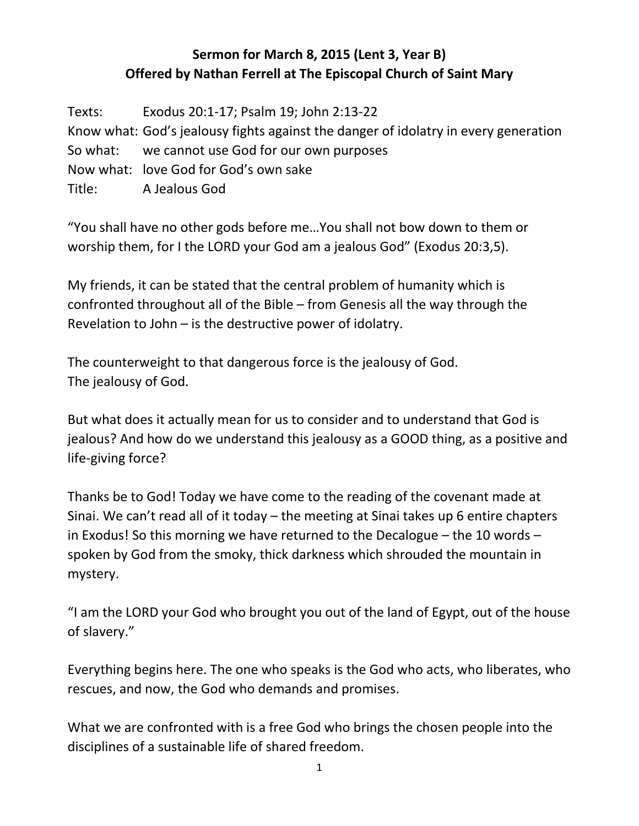## **Sermon for March 8, 2015 (Lent 3, Year B) Offered by Nathan Ferrell at The Episcopal Church of Saint Mary**

Texts: Exodus 20:1-17; Psalm 19; John 2:13-22 Know what: God's jealousy fights against the danger of idolatry in every generation So what: we cannot use God for our own purposes Now what: love God for God's own sake Title: A Jealous God

"You shall have no other gods before me…You shall not bow down to them or worship them, for I the LORD your God am a jealous God" (Exodus 20:3,5).

My friends, it can be stated that the central problem of humanity which is confronted throughout all of the Bible – from Genesis all the way through the Revelation to John – is the destructive power of idolatry.

The counterweight to that dangerous force is the jealousy of God. The jealousy of God.

But what does it actually mean for us to consider and to understand that God is jealous? And how do we understand this jealousy as a GOOD thing, as a positive and life-giving force?

Thanks be to God! Today we have come to the reading of the covenant made at Sinai. We can't read all of it today – the meeting at Sinai takes up 6 entire chapters in Exodus! So this morning we have returned to the Decalogue – the 10 words – spoken by God from the smoky, thick darkness which shrouded the mountain in mystery.

"I am the LORD your God who brought you out of the land of Egypt, out of the house of slavery."

Everything begins here. The one who speaks is the God who acts, who liberates, who rescues, and now, the God who demands and promises.

What we are confronted with is a free God who brings the chosen people into the disciplines of a sustainable life of shared freedom.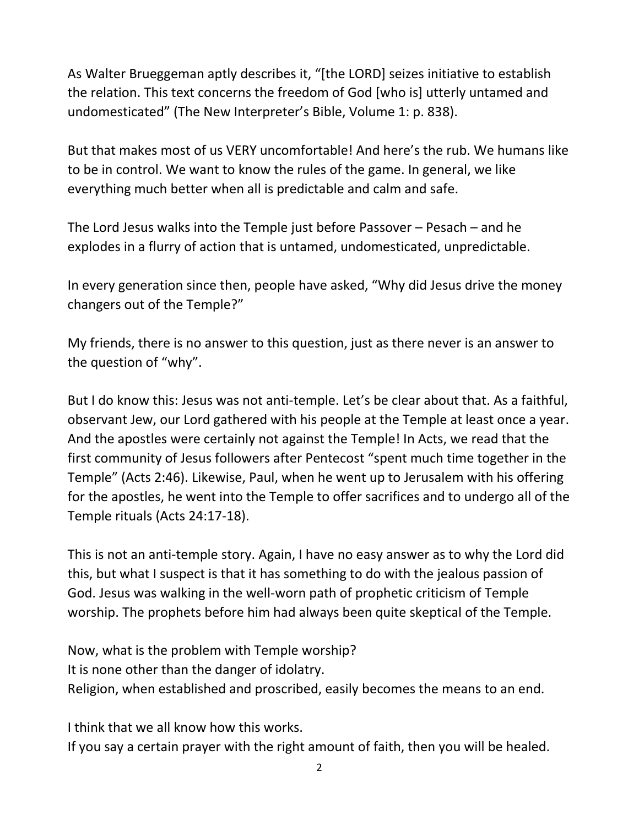As Walter Brueggeman aptly describes it, "[the LORD] seizes initiative to establish the relation. This text concerns the freedom of God [who is] utterly untamed and undomesticated" (The New Interpreter's Bible, Volume 1: p. 838).

But that makes most of us VERY uncomfortable! And here's the rub. We humans like to be in control. We want to know the rules of the game. In general, we like everything much better when all is predictable and calm and safe.

The Lord Jesus walks into the Temple just before Passover – Pesach – and he explodes in a flurry of action that is untamed, undomesticated, unpredictable.

In every generation since then, people have asked, "Why did Jesus drive the money changers out of the Temple?"

My friends, there is no answer to this question, just as there never is an answer to the question of "why".

But I do know this: Jesus was not anti-temple. Let's be clear about that. As a faithful, observant Jew, our Lord gathered with his people at the Temple at least once a year. And the apostles were certainly not against the Temple! In Acts, we read that the first community of Jesus followers after Pentecost "spent much time together in the Temple" (Acts 2:46). Likewise, Paul, when he went up to Jerusalem with his offering for the apostles, he went into the Temple to offer sacrifices and to undergo all of the Temple rituals (Acts 24:17-18).

This is not an anti-temple story. Again, I have no easy answer as to why the Lord did this, but what I suspect is that it has something to do with the jealous passion of God. Jesus was walking in the well-worn path of prophetic criticism of Temple worship. The prophets before him had always been quite skeptical of the Temple.

Now, what is the problem with Temple worship? It is none other than the danger of idolatry. Religion, when established and proscribed, easily becomes the means to an end.

I think that we all know how this works.

If you say a certain prayer with the right amount of faith, then you will be healed.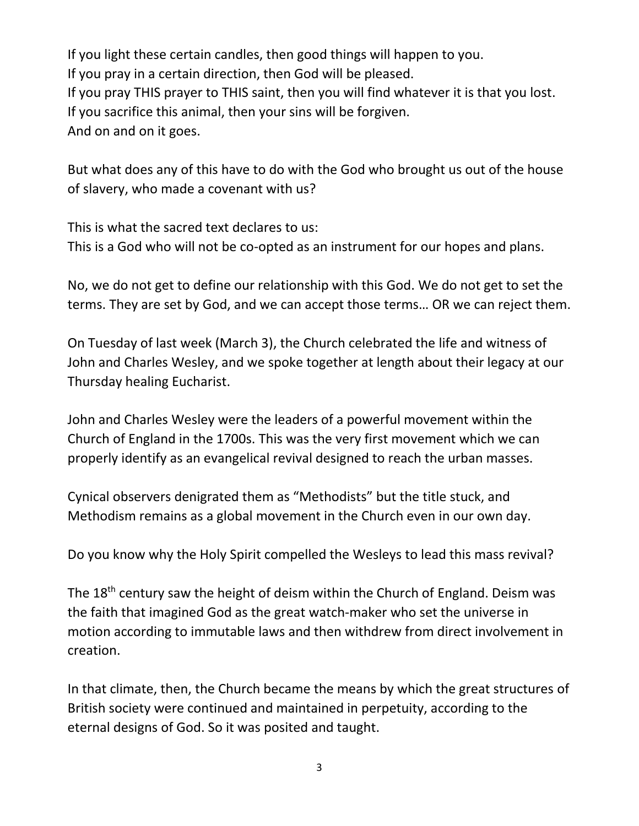If you light these certain candles, then good things will happen to you. If you pray in a certain direction, then God will be pleased. If you pray THIS prayer to THIS saint, then you will find whatever it is that you lost. If you sacrifice this animal, then your sins will be forgiven. And on and on it goes.

But what does any of this have to do with the God who brought us out of the house of slavery, who made a covenant with us?

This is what the sacred text declares to us: This is a God who will not be co-opted as an instrument for our hopes and plans.

No, we do not get to define our relationship with this God. We do not get to set the terms. They are set by God, and we can accept those terms… OR we can reject them.

On Tuesday of last week (March 3), the Church celebrated the life and witness of John and Charles Wesley, and we spoke together at length about their legacy at our Thursday healing Eucharist.

John and Charles Wesley were the leaders of a powerful movement within the Church of England in the 1700s. This was the very first movement which we can properly identify as an evangelical revival designed to reach the urban masses.

Cynical observers denigrated them as "Methodists" but the title stuck, and Methodism remains as a global movement in the Church even in our own day.

Do you know why the Holy Spirit compelled the Wesleys to lead this mass revival?

The 18<sup>th</sup> century saw the height of deism within the Church of England. Deism was the faith that imagined God as the great watch-maker who set the universe in motion according to immutable laws and then withdrew from direct involvement in creation.

In that climate, then, the Church became the means by which the great structures of British society were continued and maintained in perpetuity, according to the eternal designs of God. So it was posited and taught.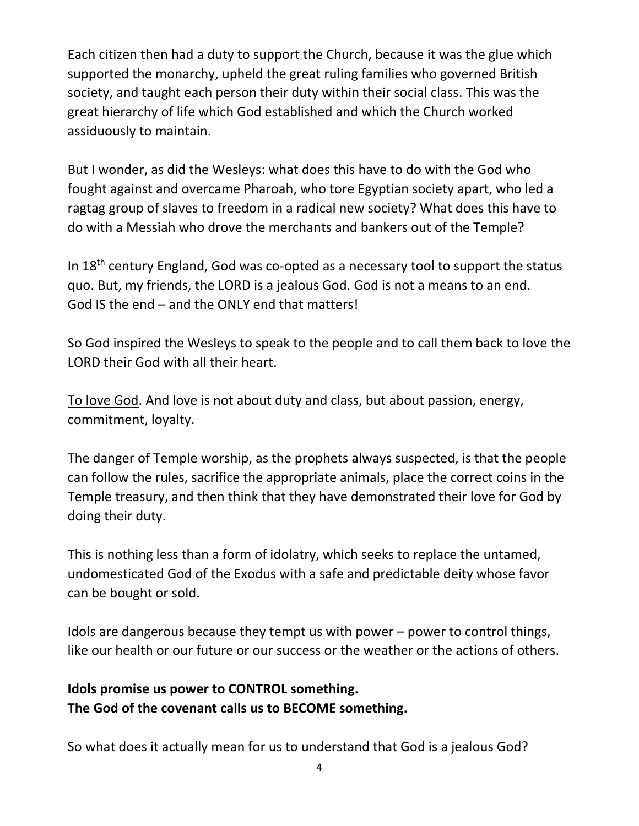Each citizen then had a duty to support the Church, because it was the glue which supported the monarchy, upheld the great ruling families who governed British society, and taught each person their duty within their social class. This was the great hierarchy of life which God established and which the Church worked assiduously to maintain.

But I wonder, as did the Wesleys: what does this have to do with the God who fought against and overcame Pharoah, who tore Egyptian society apart, who led a ragtag group of slaves to freedom in a radical new society? What does this have to do with a Messiah who drove the merchants and bankers out of the Temple?

In  $18<sup>th</sup>$  century England, God was co-opted as a necessary tool to support the status quo. But, my friends, the LORD is a jealous God. God is not a means to an end. God IS the end – and the ONLY end that matters!

So God inspired the Wesleys to speak to the people and to call them back to love the LORD their God with all their heart.

To love God. And love is not about duty and class, but about passion, energy, commitment, loyalty.

The danger of Temple worship, as the prophets always suspected, is that the people can follow the rules, sacrifice the appropriate animals, place the correct coins in the Temple treasury, and then think that they have demonstrated their love for God by doing their duty.

This is nothing less than a form of idolatry, which seeks to replace the untamed, undomesticated God of the Exodus with a safe and predictable deity whose favor can be bought or sold.

Idols are dangerous because they tempt us with power – power to control things, like our health or our future or our success or the weather or the actions of others.

## **Idols promise us power to CONTROL something. The God of the covenant calls us to BECOME something.**

So what does it actually mean for us to understand that God is a jealous God?